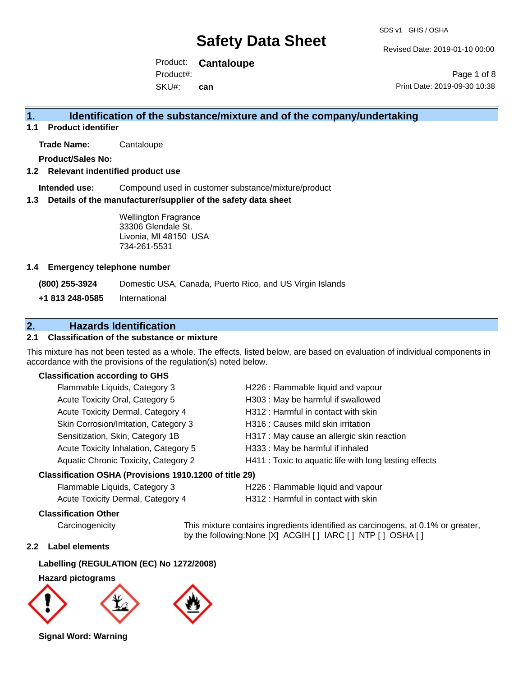Revised Date: 2019-01-10 00:00

Product: **Cantaloupe** SKU#: Product#: **can**

Page 1 of 8 Print Date: 2019-09-30 10:38

### **1. Identification of the substance/mixture and of the company/undertaking**

**1.1 Product identifier**

**Trade Name:** Cantaloupe

**Product/Sales No:**

#### **1.2 Relevant indentified product use**

**Intended use:** Compound used in customer substance/mixture/product

#### **1.3 Details of the manufacturer/supplier of the safety data sheet**

Wellington Fragrance 33306 Glendale St. Livonia, MI 48150 USA 734-261-5531

#### **1.4 Emergency telephone number**

**(800) 255-3924** Domestic USA, Canada, Puerto Rico, and US Virgin Islands

**+1 813 248-0585** International

## **2. Hazards Identification**

#### **2.1 Classification of the substance or mixture**

This mixture has not been tested as a whole. The effects, listed below, are based on evaluation of individual components in accordance with the provisions of the regulation(s) noted below.

#### **Classification according to GHS**

| Flammable Liquids, Category 3         | H226 : Flammable liquid and vapour                     |
|---------------------------------------|--------------------------------------------------------|
| Acute Toxicity Oral, Category 5       | H303 : May be harmful if swallowed                     |
| Acute Toxicity Dermal, Category 4     | H312: Harmful in contact with skin                     |
| Skin Corrosion/Irritation, Category 3 | H316 : Causes mild skin irritation                     |
| Sensitization, Skin, Category 1B      | H317 : May cause an allergic skin reaction             |
| Acute Toxicity Inhalation, Category 5 | H333: May be harmful if inhaled                        |
| Aquatic Chronic Toxicity, Category 2  | H411 : Toxic to aquatic life with long lasting effects |
|                                       |                                                        |

#### **Classification OSHA (Provisions 1910.1200 of title 29)**

| Flammable Liquids, Category 3     | H226 : Flammable liquid and vapou   |
|-----------------------------------|-------------------------------------|
| Acute Toxicity Dermal, Category 4 | H312 : Harmful in contact with skin |

H226 : Flammable liquid and vapour

#### **Classification Other**

Carcinogenicity This mixture contains ingredients identified as carcinogens, at 0.1% or greater, by the following:None [X] ACGIH [ ] IARC [ ] NTP [ ] OSHA [ ]

#### **2.2 Label elements**

#### **Labelling (REGULATION (EC) No 1272/2008)**

#### **Hazard pictograms**



**Signal Word: Warning**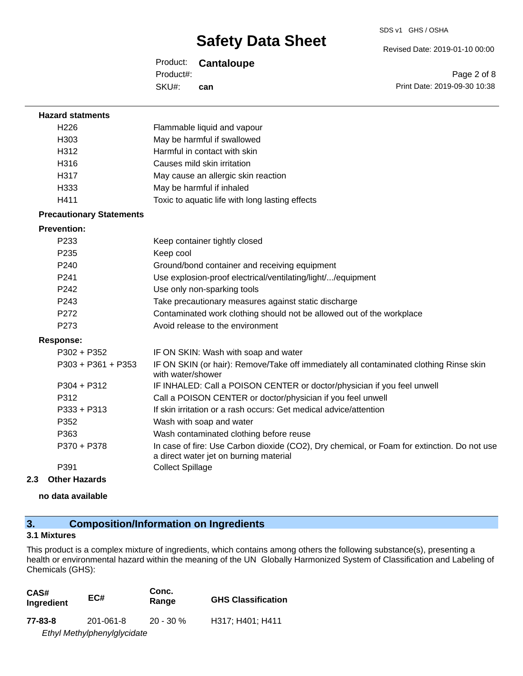Revised Date: 2019-01-10 00:00

Product: **Cantaloupe** SKU#: Product#: **can**

Page 2 of 8 Print Date: 2019-09-30 10:38

| <b>Hazard statments</b>         |                                                                                                                                       |
|---------------------------------|---------------------------------------------------------------------------------------------------------------------------------------|
| H226                            | Flammable liquid and vapour                                                                                                           |
| H303                            | May be harmful if swallowed                                                                                                           |
| H312                            | Harmful in contact with skin                                                                                                          |
| H316                            | Causes mild skin irritation                                                                                                           |
| H317                            | May cause an allergic skin reaction                                                                                                   |
| H333                            | May be harmful if inhaled                                                                                                             |
| H411                            | Toxic to aquatic life with long lasting effects                                                                                       |
| <b>Precautionary Statements</b> |                                                                                                                                       |
| <b>Prevention:</b>              |                                                                                                                                       |
| P233                            | Keep container tightly closed                                                                                                         |
| P <sub>235</sub>                | Keep cool                                                                                                                             |
| P240                            | Ground/bond container and receiving equipment                                                                                         |
| P241                            | Use explosion-proof electrical/ventilating/light//equipment                                                                           |
| P242                            | Use only non-sparking tools                                                                                                           |
| P243                            | Take precautionary measures against static discharge                                                                                  |
| P272                            | Contaminated work clothing should not be allowed out of the workplace                                                                 |
| P273                            | Avoid release to the environment                                                                                                      |
| <b>Response:</b>                |                                                                                                                                       |
| $P302 + P352$                   | IF ON SKIN: Wash with soap and water                                                                                                  |
| $P303 + P361 + P353$            | IF ON SKIN (or hair): Remove/Take off immediately all contaminated clothing Rinse skin<br>with water/shower                           |
| P304 + P312                     | IF INHALED: Call a POISON CENTER or doctor/physician if you feel unwell                                                               |
| P312                            | Call a POISON CENTER or doctor/physician if you feel unwell                                                                           |
| P333 + P313                     | If skin irritation or a rash occurs: Get medical advice/attention                                                                     |
| P352                            | Wash with soap and water                                                                                                              |
| P363                            | Wash contaminated clothing before reuse                                                                                               |
| P370 + P378                     | In case of fire: Use Carbon dioxide (CO2), Dry chemical, or Foam for extinction. Do not use<br>a direct water jet on burning material |
| P391                            | <b>Collect Spillage</b>                                                                                                               |
| <b>Other Hazards</b><br>2.3     |                                                                                                                                       |

**no data available**

## **3. Composition/Information on Ingredients**

#### **3.1 Mixtures**

This product is a complex mixture of ingredients, which contains among others the following substance(s), presenting a health or environmental hazard within the meaning of the UN Globally Harmonized System of Classification and Labeling of Chemicals (GHS):

| CAS#<br>Ingredient | EC#                         | Conc.<br>Range | <b>GHS Classification</b> |
|--------------------|-----------------------------|----------------|---------------------------|
| 77-83-8            | 201-061-8                   | $20 - 30 \%$   | H317: H401: H411          |
|                    | Ethyl Methylphenylglycidate |                |                           |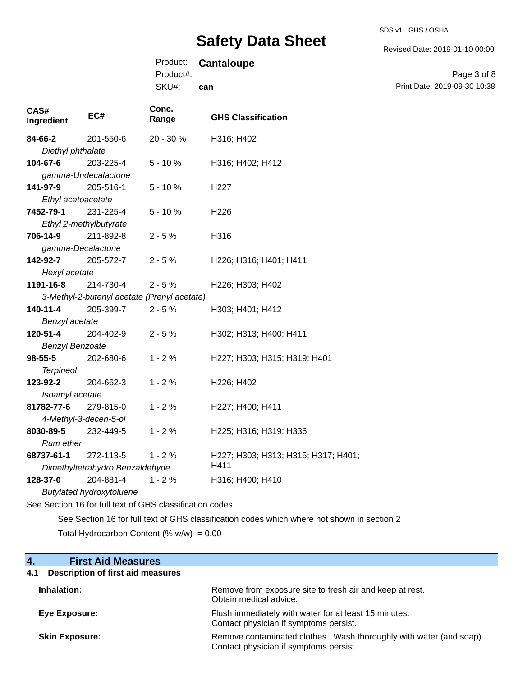SDS v1 GHS / OSHA

Revised Date: 2019-01-10 00:00

## Product: **Cantaloupe**

SK Product#:

| י <i>πט</i> טע. |     |
|-----------------|-----|
| (U#:            | can |

Page 3 of 8 Print Date: 2019-09-30 10:38

| CAS#<br>Ingredient     | EC#                             | Conc.<br>Range                                           | <b>GHS Classification</b>           |
|------------------------|---------------------------------|----------------------------------------------------------|-------------------------------------|
| 84-66-2                | 201-550-6                       | 20 - 30 %                                                | H316; H402                          |
| Diethyl phthalate      |                                 |                                                          |                                     |
| 104-67-6               | 203-225-4                       | $5 - 10%$                                                | H316; H402; H412                    |
|                        | gamma-Undecalactone             |                                                          |                                     |
| 141-97-9               | 205-516-1                       | $5 - 10%$                                                | H227                                |
| Ethyl acetoacetate     |                                 |                                                          |                                     |
| 7452-79-1              | 231-225-4                       | $5 - 10%$                                                | H226                                |
|                        | Ethyl 2-methylbutyrate          |                                                          |                                     |
| 706-14-9               | 211-892-8                       | $2 - 5%$                                                 | H316                                |
| gamma-Decalactone      |                                 |                                                          |                                     |
| 142-92-7               | 205-572-7                       | $2 - 5%$                                                 | H226; H316; H401; H411              |
| Hexyl acetate          |                                 |                                                          |                                     |
| 1191-16-8              | 214-730-4                       | $2 - 5%$                                                 | H226; H303; H402                    |
|                        |                                 | 3-Methyl-2-butenyl acetate (Prenyl acetate)              |                                     |
| $140 - 11 - 4$         | 205-399-7                       | $2 - 5%$                                                 | H303; H401; H412                    |
| Benzyl acetate         |                                 |                                                          |                                     |
| 120-51-4               | 204-402-9                       | $2 - 5%$                                                 | H302; H313; H400; H411              |
| <b>Benzyl Benzoate</b> |                                 |                                                          |                                     |
| 98-55-5                | 202-680-6                       | $1 - 2%$                                                 | H227; H303; H315; H319; H401        |
| <b>Terpineol</b>       |                                 |                                                          |                                     |
| 123-92-2               | 204-662-3                       | $1 - 2%$                                                 | H226; H402                          |
| Isoamyl acetate        |                                 |                                                          |                                     |
| 81782-77-6             | 279-815-0                       | $1 - 2%$                                                 | H227; H400; H411                    |
|                        | 4-Methyl-3-decen-5-ol           |                                                          |                                     |
| 8030-89-5              | 232-449-5                       | $1 - 2%$                                                 | H225; H316; H319; H336              |
| Rum ether              |                                 |                                                          |                                     |
| 68737-61-1             | 272-113-5                       | $1 - 2%$                                                 | H227; H303; H313; H315; H317; H401; |
|                        | Dimethyltetrahydro Benzaldehyde |                                                          | H411                                |
| 128-37-0               | 204-881-4                       | $1 - 2%$                                                 | H316; H400; H410                    |
|                        | <b>Butylated hydroxytoluene</b> |                                                          |                                     |
|                        |                                 | See Section 16 for full text of GHS classification codes |                                     |

See Section 16 for full text of GHS classification codes which where not shown in section 2 Total Hydrocarbon Content  $(\% w/w) = 0.00$ 

| 4.<br><b>First Aid Measures</b>                 |                                                                                                               |
|-------------------------------------------------|---------------------------------------------------------------------------------------------------------------|
| <b>Description of first aid measures</b><br>4.1 |                                                                                                               |
| Inhalation:                                     | Remove from exposure site to fresh air and keep at rest.<br>Obtain medical advice.                            |
| <b>Eye Exposure:</b>                            | Flush immediately with water for at least 15 minutes.<br>Contact physician if symptoms persist.               |
| <b>Skin Exposure:</b>                           | Remove contaminated clothes. Wash thoroughly with water (and soap).<br>Contact physician if symptoms persist. |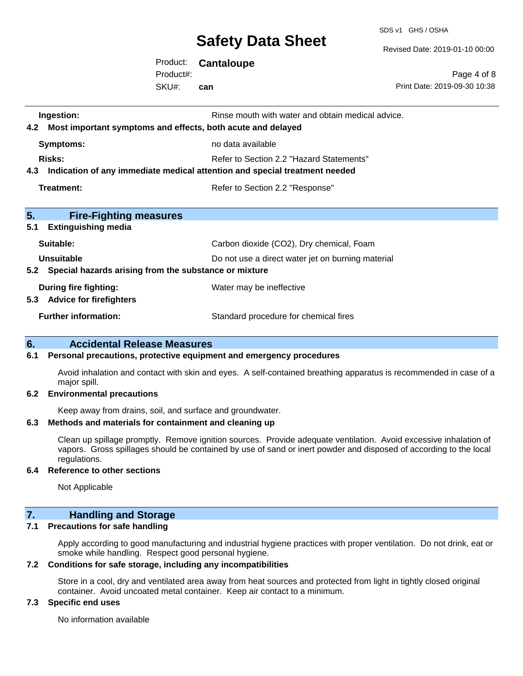SDS v1 GHS / OSHA

Revised Date: 2019-01-10 00:00

Product: **Cantaloupe** SKU#: Product#: **can**

Page 4 of 8 Print Date: 2019-09-30 10:38

| Ingestion:                                                                     | Rinse mouth with water and obtain medical advice. |
|--------------------------------------------------------------------------------|---------------------------------------------------|
| 4.2 Most important symptoms and effects, both acute and delayed                |                                                   |
| <b>Symptoms:</b>                                                               | no data available                                 |
| <b>Risks:</b>                                                                  | Refer to Section 2.2 "Hazard Statements"          |
| 4.3 Indication of any immediate medical attention and special treatment needed |                                                   |
| Treatment:                                                                     | Refer to Section 2.2 "Response"                   |
|                                                                                |                                                   |
| 5.<br><b>Fire-Fighting measures</b>                                            |                                                   |
| 5.1<br><b>Extinguishing media</b>                                              |                                                   |
| Suitable:                                                                      | Carbon dioxide (CO2), Dry chemical, Foam          |
| Unsuitable                                                                     | Do not use a direct water jet on burning material |
| 5.2 Special hazards arising from the substance or mixture                      |                                                   |
| During fire fighting:                                                          | Water may be ineffective                          |
| 5.3 Advice for firefighters                                                    |                                                   |
| <b>Further information:</b>                                                    | Standard procedure for chemical fires             |
|                                                                                |                                                   |

#### **6. Accidental Release Measures**

#### **6.1 Personal precautions, protective equipment and emergency procedures**

Avoid inhalation and contact with skin and eyes. A self-contained breathing apparatus is recommended in case of a major spill.

#### **6.2 Environmental precautions**

Keep away from drains, soil, and surface and groundwater.

#### **6.3 Methods and materials for containment and cleaning up**

Clean up spillage promptly. Remove ignition sources. Provide adequate ventilation. Avoid excessive inhalation of vapors. Gross spillages should be contained by use of sand or inert powder and disposed of according to the local regulations.

#### **6.4 Reference to other sections**

Not Applicable

## **7. Handling and Storage**

#### **7.1 Precautions for safe handling**

Apply according to good manufacturing and industrial hygiene practices with proper ventilation. Do not drink, eat or smoke while handling. Respect good personal hygiene.

#### **7.2 Conditions for safe storage, including any incompatibilities**

Store in a cool, dry and ventilated area away from heat sources and protected from light in tightly closed original container. Avoid uncoated metal container. Keep air contact to a minimum.

#### **7.3 Specific end uses**

No information available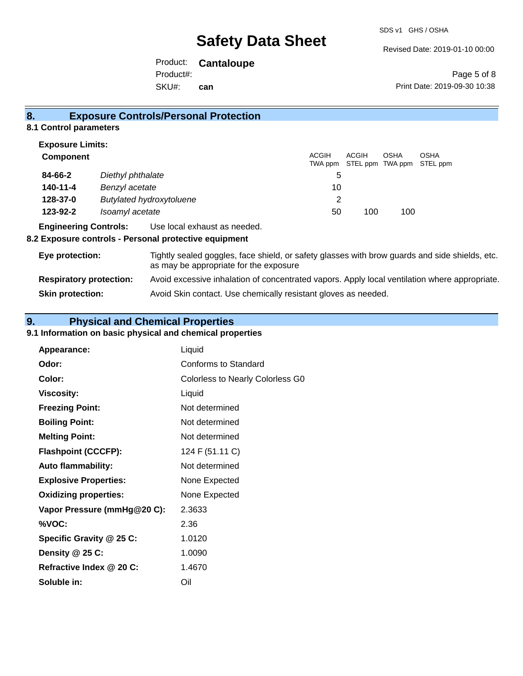Revised Date: 2019-01-10 00:00

Product: **Cantaloupe** SKU#: Product#: **can**

Page 5 of 8 Print Date: 2019-09-30 10:38

### **8. Exposure Controls/Personal Protection**

#### **8.1 Control parameters**

| <b>Exposure Limits:</b>                     |                              |                         |                           |             |                         |
|---------------------------------------------|------------------------------|-------------------------|---------------------------|-------------|-------------------------|
| <b>Component</b>                            |                              | <b>ACGIH</b><br>TWA ppm | ACGIH<br>STEL ppm TWA ppm | <b>OSHA</b> | <b>OSHA</b><br>STEL ppm |
| 84-66-2                                     | Diethyl phthalate            | 5                       |                           |             |                         |
| 140-11-4                                    | Benzyl acetate               | 10                      |                           |             |                         |
| 128-37-0<br><b>Butylated hydroxytoluene</b> |                              | 2                       |                           |             |                         |
| 123-92-2                                    | Isoamyl acetate              | 50                      | 100                       | 100         |                         |
| <b>Engineering Controls:</b>                | Use local exhaust as needed. |                         |                           |             |                         |

#### **8.2 Exposure controls - Personal protective equipment**

| Eye protection:                | Tightly sealed goggles, face shield, or safety glasses with brow guards and side shields, etc.<br>as may be appropriate for the exposure |
|--------------------------------|------------------------------------------------------------------------------------------------------------------------------------------|
| <b>Respiratory protection:</b> | Avoid excessive inhalation of concentrated vapors. Apply local ventilation where appropriate.                                            |
| <b>Skin protection:</b>        | Avoid Skin contact. Use chemically resistant gloves as needed.                                                                           |

## **9. Physical and Chemical Properties**

### **9.1 Information on basic physical and chemical properties**

| Appearance:                  | Liquid                                  |
|------------------------------|-----------------------------------------|
| Odor:                        | Conforms to Standard                    |
| Color:                       | <b>Colorless to Nearly Colorless G0</b> |
| <b>Viscosity:</b>            | Liquid                                  |
| <b>Freezing Point:</b>       | Not determined                          |
| <b>Boiling Point:</b>        | Not determined                          |
| <b>Melting Point:</b>        | Not determined                          |
| <b>Flashpoint (CCCFP):</b>   | 124 F (51.11 C)                         |
| <b>Auto flammability:</b>    | Not determined                          |
| <b>Explosive Properties:</b> | None Expected                           |
| <b>Oxidizing properties:</b> | None Expected                           |
| Vapor Pressure (mmHg@20 C):  | 2.3633                                  |
| %VOC:                        | 2.36                                    |
| Specific Gravity @ 25 C:     | 1.0120                                  |
| Density @ 25 C:              | 1.0090                                  |
| Refractive Index @ 20 C:     | 1.4670                                  |
| Soluble in:                  | Oil                                     |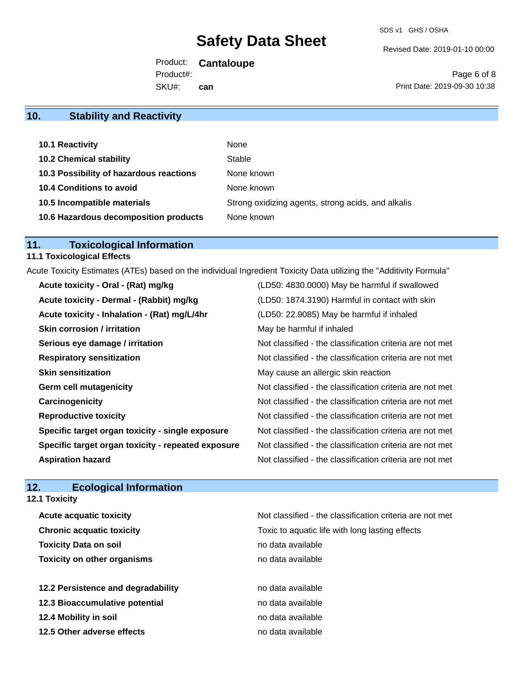Revised Date: 2019-01-10 00:00

Product: **Cantaloupe** SKU#: Product#: **can**

Page 6 of 8 Print Date: 2019-09-30 10:38

## **10. Stability and Reactivity**

| 10.1 Reactivity                         | None                                               |
|-----------------------------------------|----------------------------------------------------|
| <b>10.2 Chemical stability</b>          | Stable                                             |
| 10.3 Possibility of hazardous reactions | None known                                         |
| <b>10.4 Conditions to avoid</b>         | None known                                         |
| 10.5 Incompatible materials             | Strong oxidizing agents, strong acids, and alkalis |
| 10.6 Hazardous decomposition products   | None known                                         |

## **11. Toxicological Information**

## **11.1 Toxicological Effects**

Acute Toxicity Estimates (ATEs) based on the individual Ingredient Toxicity Data utilizing the "Additivity Formula"

| Acute toxicity - Oral - (Rat) mg/kg                | (LD50: 4830.0000) May be harmful if swallowed            |
|----------------------------------------------------|----------------------------------------------------------|
| Acute toxicity - Dermal - (Rabbit) mg/kg           | (LD50: 1874.3190) Harmful in contact with skin           |
| Acute toxicity - Inhalation - (Rat) mg/L/4hr       | (LD50: 22.9085) May be harmful if inhaled                |
| <b>Skin corrosion / irritation</b>                 | May be harmful if inhaled                                |
| Serious eye damage / irritation                    | Not classified - the classification criteria are not met |
| <b>Respiratory sensitization</b>                   | Not classified - the classification criteria are not met |
| <b>Skin sensitization</b>                          | May cause an allergic skin reaction                      |
| <b>Germ cell mutagenicity</b>                      | Not classified - the classification criteria are not met |
| Carcinogenicity                                    | Not classified - the classification criteria are not met |
| <b>Reproductive toxicity</b>                       | Not classified - the classification criteria are not met |
| Specific target organ toxicity - single exposure   | Not classified - the classification criteria are not met |
| Specific target organ toxicity - repeated exposure | Not classified - the classification criteria are not met |
| <b>Aspiration hazard</b>                           | Not classified - the classification criteria are not met |

## **12. Ecological Information**

### **12.1 Toxicity**

| <b>Acute acquatic toxicity</b>     | Not classified - the classification criteria are not met |
|------------------------------------|----------------------------------------------------------|
| <b>Chronic acquatic toxicity</b>   | Toxic to aquatic life with long lasting effects          |
| <b>Toxicity Data on soil</b>       | no data available                                        |
| <b>Toxicity on other organisms</b> | no data available                                        |
|                                    |                                                          |
| 12.2 Persistence and degradability | no data available                                        |
| 12.3 Bioaccumulative potential     | no data available                                        |
| 12.4 Mobility in soil              | no data available                                        |
| 12.5 Other adverse effects         | no data available                                        |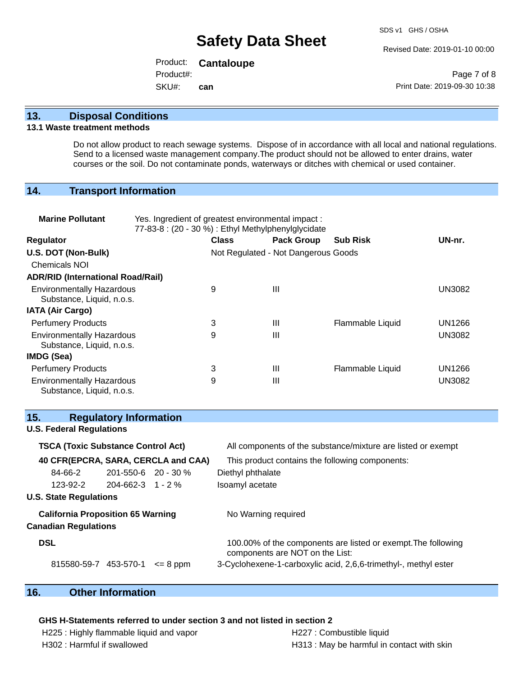Revised Date: 2019-01-10 00:00

Product: **Cantaloupe** SKU#: Product#: **can**

Page 7 of 8 Print Date: 2019-09-30 10:38

#### **13. Disposal Conditions**

#### **13.1 Waste treatment methods**

Do not allow product to reach sewage systems. Dispose of in accordance with all local and national regulations. Send to a licensed waste management company.The product should not be allowed to enter drains, water courses or the soil. Do not contaminate ponds, waterways or ditches with chemical or used container.

#### **14. Transport Information**

| <b>Marine Pollutant</b>                                       | Yes. Ingredient of greatest environmental impact:<br>77-83-8 : (20 - 30 %) : Ethyl Methylphenylglycidate |                                     |                   |                  |               |
|---------------------------------------------------------------|----------------------------------------------------------------------------------------------------------|-------------------------------------|-------------------|------------------|---------------|
| <b>Regulator</b>                                              |                                                                                                          | <b>Class</b>                        | <b>Pack Group</b> | <b>Sub Risk</b>  | UN-nr.        |
| U.S. DOT (Non-Bulk)                                           |                                                                                                          | Not Regulated - Not Dangerous Goods |                   |                  |               |
| <b>Chemicals NOI</b>                                          |                                                                                                          |                                     |                   |                  |               |
| <b>ADR/RID (International Road/Rail)</b>                      |                                                                                                          |                                     |                   |                  |               |
| <b>Environmentally Hazardous</b><br>Substance, Liquid, n.o.s. |                                                                                                          | 9                                   | Ш                 |                  | <b>UN3082</b> |
| <b>IATA (Air Cargo)</b>                                       |                                                                                                          |                                     |                   |                  |               |
| <b>Perfumery Products</b>                                     |                                                                                                          | 3                                   | Ш                 | Flammable Liquid | UN1266        |
| <b>Environmentally Hazardous</b><br>Substance, Liquid, n.o.s. |                                                                                                          | 9                                   | $\mathbf{III}$    |                  | <b>UN3082</b> |
| IMDG (Sea)                                                    |                                                                                                          |                                     |                   |                  |               |
| <b>Perfumery Products</b>                                     |                                                                                                          | 3                                   | $\mathbf{III}$    | Flammable Liquid | UN1266        |
| <b>Environmentally Hazardous</b><br>Substance, Liquid, n.o.s. |                                                                                                          | 9                                   | Ш                 |                  | <b>UN3082</b> |

#### **15. Regulatory Information**

## **U.S. Federal Regulations TSCA (Toxic Substance Control Act)** All components of the substance/mixture are listed or exempt **40 CFR(EPCRA, SARA, CERCLA and CAA)** This product contains the following components: 84-66-2 201-550-6 20 - 30 % Diethyl phthalate 123-92-2 204-662-3 1 - 2 % Isoamyl acetate **U.S. State Regulations California Proposition 65 Warning No Warning required Canadian Regulations DSL** 100.00% of the components are listed or exempt.The following components are NOT on the List: 815580-59-7 453-570-1  $\leq$  8 ppm 3-Cyclohexene-1-carboxylic acid, 2,6,6-trimethyl-, methyl ester

### **16. Other Information**

#### **GHS H-Statements referred to under section 3 and not listed in section 2**

H225 : Highly flammable liquid and vapor **H227** : Combustible liquid